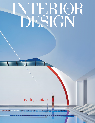## $\blacktriangleleft$ APRIL 2021  $\circledR$

## making a splash

<u>itiaitiak ekoaitiaitiaitiak kekkeik yksintyk laitek aikia yysyysyytettii tai k</u> CHESE HENRICHENEN MARIE cococacacaca

<u>LE ET LE CELE (LE CELE CALE LE CALE LES MEMBREMENTS DE MEMBREMENTALES DE LA PARTIE DE LA CIENTA DE LA CALENT</u>